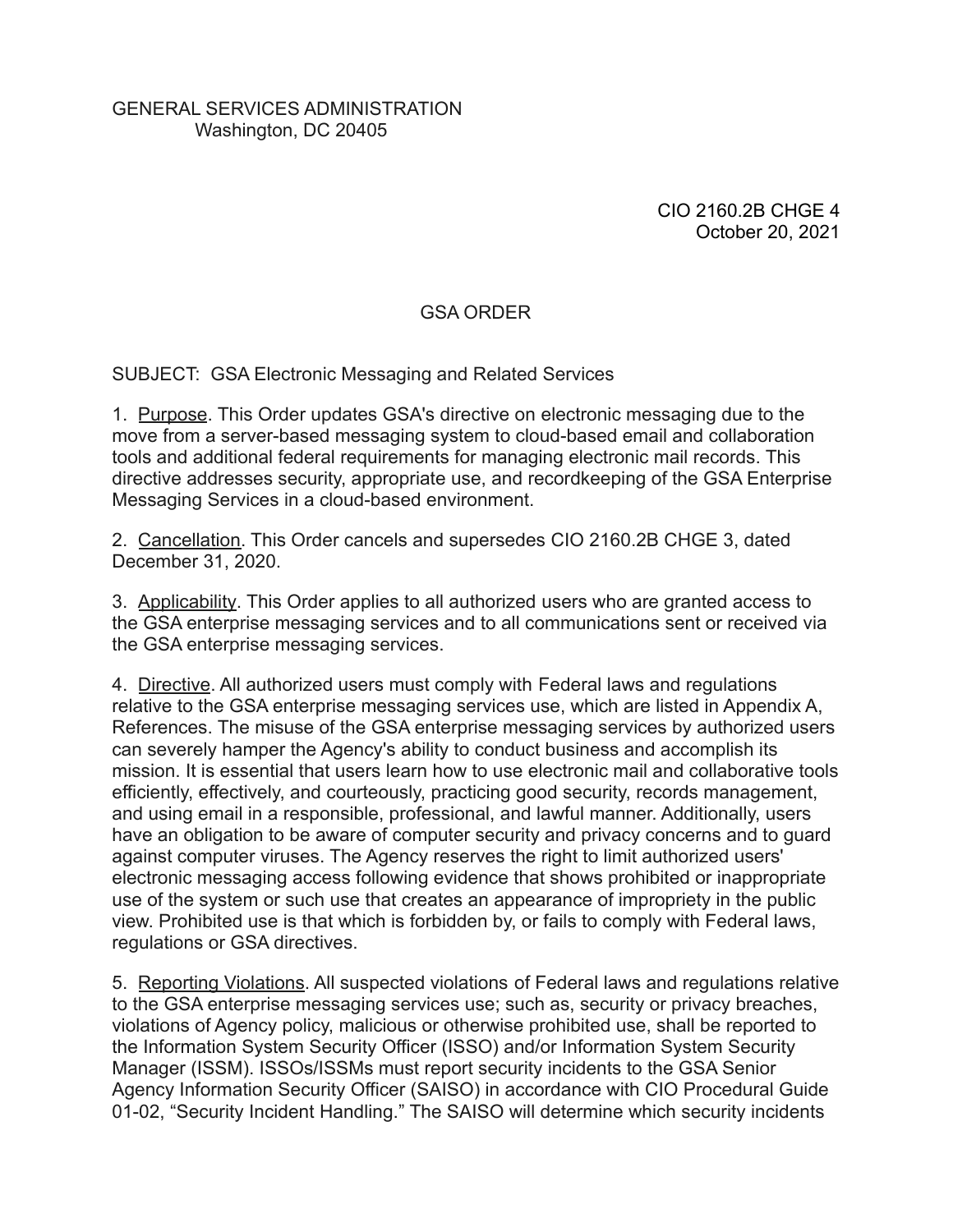### GENERAL SERVICES ADMINISTRATION Washington, DC 20405

CIO 2160.2B CHGE 4 October 20, 2021

# GSA ORDER

SUBJECT: GSA Electronic Messaging and Related Services

1. Purpose. This Order updates GSA's directive on electronic messaging due to the move from a server-based messaging system to cloud-based email and collaboration tools and additional federal requirements for managing electronic mail records. This directive addresses security, appropriate use, and recordkeeping of the GSA Enterprise Messaging Services in a cloud-based environment.

2. Cancellation. This Order cancels and supersedes CIO 2160.2B CHGE 3, dated December 31, 2020.

3. Applicability. This Order applies to all authorized users who are granted access to the GSA enterprise messaging services and to all communications sent or received via the GSA enterprise messaging services.

4. Directive. All authorized users must comply with Federal laws and regulations relative to the GSA enterprise messaging services use, which are listed in Appendix A, References. The misuse of the GSA enterprise messaging services by authorized users can severely hamper the Agency's ability to conduct business and accomplish its mission. It is essential that users learn how to use electronic mail and collaborative tools efficiently, effectively, and courteously, practicing good security, records management, and using email in a responsible, professional, and lawful manner. Additionally, users have an obligation to be aware of computer security and privacy concerns and to guard against computer viruses. The Agency reserves the right to limit authorized users' electronic messaging access following evidence that shows prohibited or inappropriate use of the system or such use that creates an appearance of impropriety in the public view. Prohibited use is that which is forbidden by, or fails to comply with Federal laws, regulations or GSA directives.

5. Reporting Violations. All suspected violations of Federal laws and regulations relative to the GSA enterprise messaging services use; such as, security or privacy breaches, violations of Agency policy, malicious or otherwise prohibited use, shall be reported to the Information System Security Officer (ISSO) and/or Information System Security Manager (ISSM). ISSOs/ISSMs must report security incidents to the GSA Senior Agency Information Security Officer (SAISO) in accordance with CIO Procedural Guide 01-02, "Security Incident Handling." The SAISO will determine which security incidents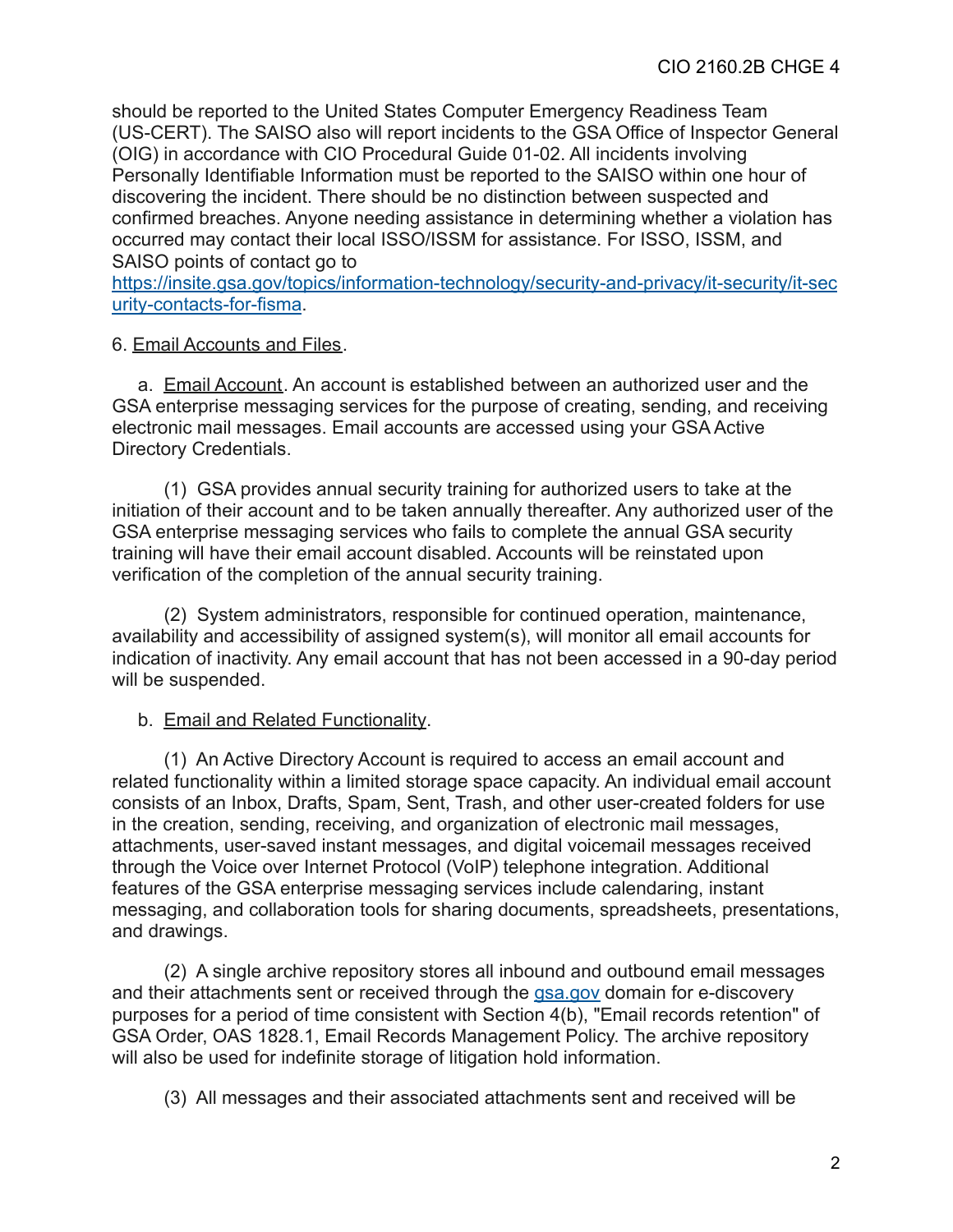should be reported to the United States Computer Emergency Readiness Team (US-CERT). The SAISO also will report incidents to the GSA Office of Inspector General (OIG) in accordance with CIO Procedural Guide 01-02. All incidents involving Personally Identifiable Information must be reported to the SAISO within one hour of discovering the incident. There should be no distinction between suspected and confirmed breaches. Anyone needing assistance in determining whether a violation has occurred may contact their local ISSO/ISSM for assistance. For ISSO, ISSM, and SAISO points of contact go to

[https://insite.gsa.gov/topics/information-technology/security-and-privacy/it-security/it-sec](https://insite.gsa.gov/topics/information-technology/security-and-privacy/it-security/it-security-contacts-for-fisma) [urity-contacts-for-fisma](https://insite.gsa.gov/topics/information-technology/security-and-privacy/it-security/it-security-contacts-for-fisma).

# 6. Email Accounts and Files.

a. Email Account. An account is established between an authorized user and the GSA enterprise messaging services for the purpose of creating, sending, and receiving electronic mail messages. Email accounts are accessed using your GSA Active Directory Credentials.

(1) GSA provides annual security training for authorized users to take at the initiation of their account and to be taken annually thereafter. Any authorized user of the GSA enterprise messaging services who fails to complete the annual GSA security training will have their email account disabled. Accounts will be reinstated upon verification of the completion of the annual security training.

(2) System administrators, responsible for continued operation, maintenance, availability and accessibility of assigned system(s), will monitor all email accounts for indication of inactivity. Any email account that has not been accessed in a 90-day period will be suspended.

### b. Email and Related Functionality.

(1) An Active Directory Account is required to access an email account and related functionality within a limited storage space capacity. An individual email account consists of an Inbox, Drafts, Spam, Sent, Trash, and other user-created folders for use in the creation, sending, receiving, and organization of electronic mail messages, attachments, user-saved instant messages, and digital voicemail messages received through the Voice over Internet Protocol (VoIP) telephone integration. Additional features of the GSA enterprise messaging services include calendaring, instant messaging, and collaboration tools for sharing documents, spreadsheets, presentations, and drawings.

(2) A single archive repository stores all inbound and outbound email messages and their attachments sent or received through the **[gsa.gov](http://gsa.gov/)** domain for e-discovery purposes for a period of time consistent with Section 4(b), "Email records retention" of GSA Order, OAS 1828.1, Email Records Management Policy. The archive repository will also be used for indefinite storage of litigation hold information.

(3) All messages and their associated attachments sent and received will be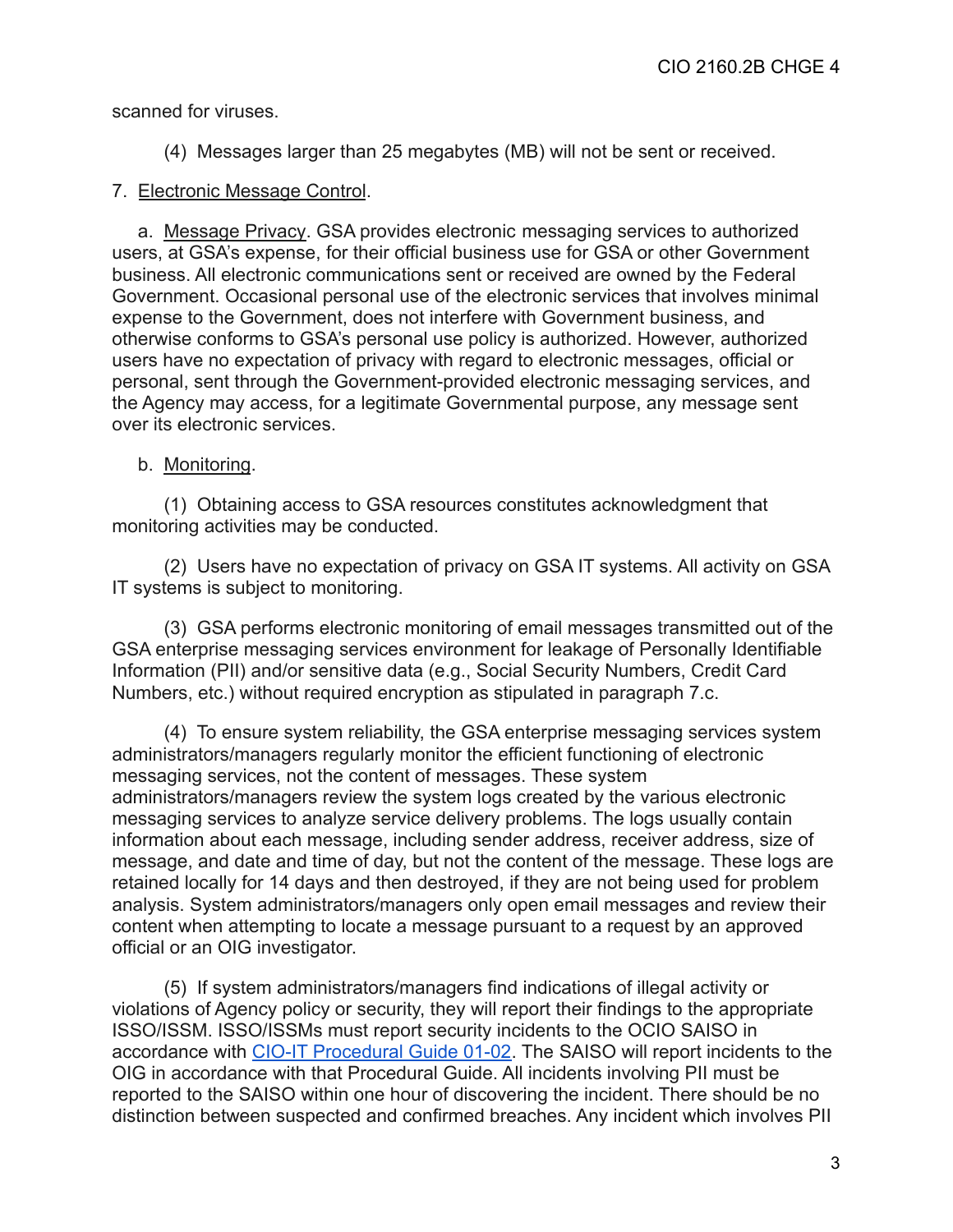scanned for viruses.

(4) Messages larger than 25 megabytes (MB) will not be sent or received.

#### 7. Electronic Message Control.

a. Message Privacy. GSA provides electronic messaging services to authorized users, at GSA's expense, for their official business use for GSA or other Government business. All electronic communications sent or received are owned by the Federal Government. Occasional personal use of the electronic services that involves minimal expense to the Government, does not interfere with Government business, and otherwise conforms to GSA's personal use policy is authorized. However, authorized users have no expectation of privacy with regard to electronic messages, official or personal, sent through the Government-provided electronic messaging services, and the Agency may access, for a legitimate Governmental purpose, any message sent over its electronic services.

#### b. Monitoring.

(1) Obtaining access to GSA resources constitutes acknowledgment that monitoring activities may be conducted.

(2) Users have no expectation of privacy on GSA IT systems. All activity on GSA IT systems is subject to monitoring.

(3) GSA performs electronic monitoring of email messages transmitted out of the GSA enterprise messaging services environment for leakage of Personally Identifiable Information (PII) and/or sensitive data (e.g., Social Security Numbers, Credit Card Numbers, etc.) without required encryption as stipulated in paragraph 7.c.

(4) To ensure system reliability, the GSA enterprise messaging services system administrators/managers regularly monitor the efficient functioning of electronic messaging services, not the content of messages. These system administrators/managers review the system logs created by the various electronic messaging services to analyze service delivery problems. The logs usually contain information about each message, including sender address, receiver address, size of message, and date and time of day, but not the content of the message. These logs are retained locally for 14 days and then destroyed, if they are not being used for problem analysis. System administrators/managers only open email messages and review their content when attempting to locate a message pursuant to a request by an approved official or an OIG investigator.

(5) If system administrators/managers find indications of illegal activity or violations of Agency policy or security, they will report their findings to the appropriate ISSO/ISSM. ISSO/ISSMs must report security incidents to the OCIO SAISO in accordance with [CIO-IT Procedural Guide 01-02.](https://insite.gsa.gov/cdnstatic/insite/Incident_Response_%5BCIO_IT_Security_01-02_Rev_18%5D_03-26-2021docx.pdf) The SAISO will report incidents to the OIG in accordance with that Procedural Guide. All incidents involving PII must be reported to the SAISO within one hour of discovering the incident. There should be no distinction between suspected and confirmed breaches. Any incident which involves PII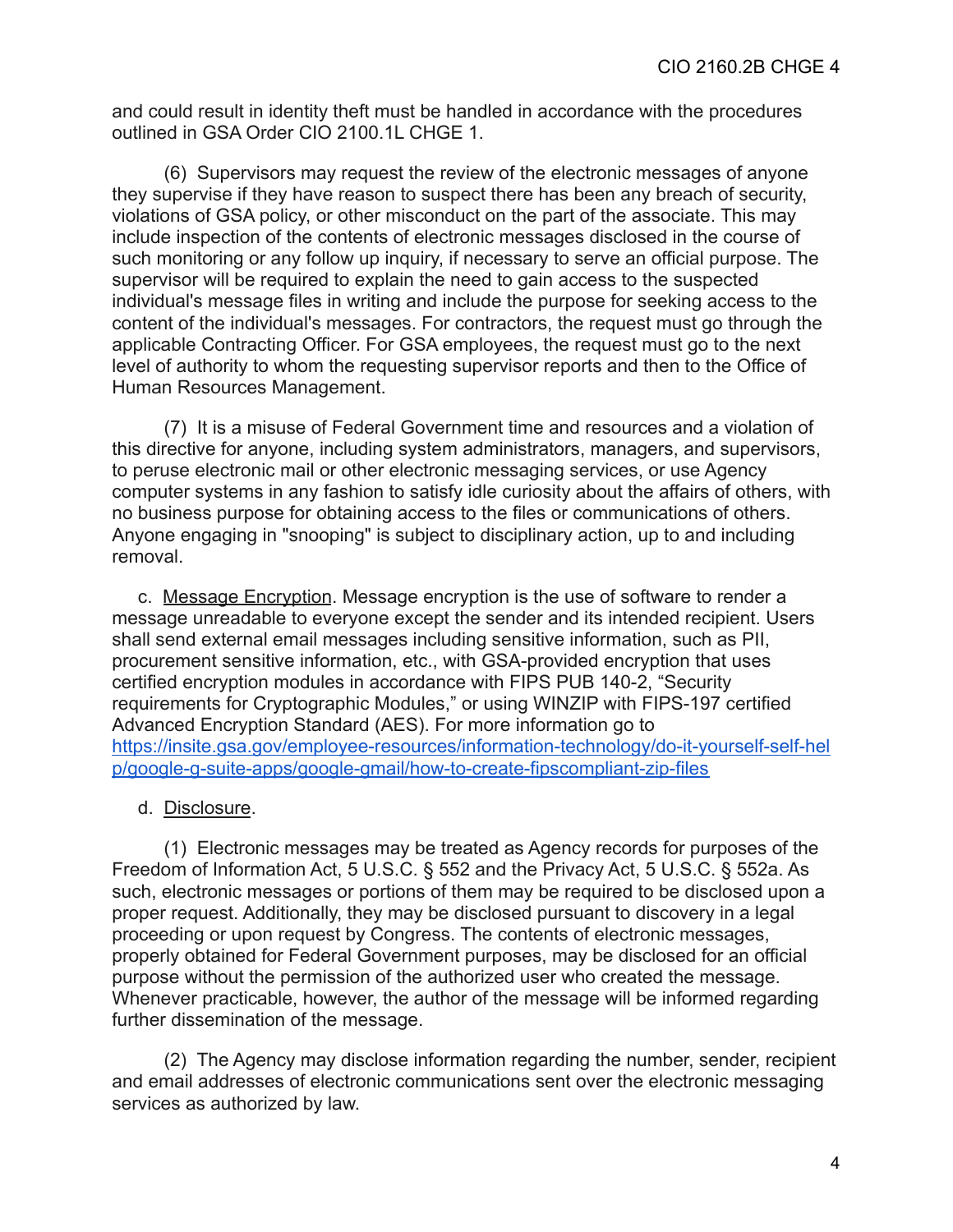and could result in identity theft must be handled in accordance with the procedures outlined in GSA Order CIO 2100.1L CHGE 1.

(6) Supervisors may request the review of the electronic messages of anyone they supervise if they have reason to suspect there has been any breach of security, violations of GSA policy, or other misconduct on the part of the associate. This may include inspection of the contents of electronic messages disclosed in the course of such monitoring or any follow up inquiry, if necessary to serve an official purpose. The supervisor will be required to explain the need to gain access to the suspected individual's message files in writing and include the purpose for seeking access to the content of the individual's messages. For contractors, the request must go through the applicable Contracting Officer. For GSA employees, the request must go to the next level of authority to whom the requesting supervisor reports and then to the Office of Human Resources Management.

(7) It is a misuse of Federal Government time and resources and a violation of this directive for anyone, including system administrators, managers, and supervisors, to peruse electronic mail or other electronic messaging services, or use Agency computer systems in any fashion to satisfy idle curiosity about the affairs of others, with no business purpose for obtaining access to the files or communications of others. Anyone engaging in "snooping" is subject to disciplinary action, up to and including removal.

c. Message Encryption. Message encryption is the use of software to render a message unreadable to everyone except the sender and its intended recipient. Users shall send external email messages including sensitive information, such as PII, procurement sensitive information, etc., with GSA-provided encryption that uses certified encryption modules in accordance with FIPS PUB 140-2, "Security requirements for Cryptographic Modules," or using WINZIP with FIPS-197 certified Advanced Encryption Standard (AES). For more information go to [https://insite.gsa.gov/employee-resources/information-technology/do-it-yourself-self-hel](https://insite.gsa.gov/employee-resources/information-technology/do-it-yourself-self-help/google-g-suite-apps/google-gmail/how-to-create-fipscompliant-zip-files) [p/google-g-suite-apps/google-gmail/how-to-create-fipscompliant-zip-files](https://insite.gsa.gov/employee-resources/information-technology/do-it-yourself-self-help/google-g-suite-apps/google-gmail/how-to-create-fipscompliant-zip-files)

### d. Disclosure.

(1) Electronic messages may be treated as Agency records for purposes of the Freedom of Information Act, 5 U.S.C. § 552 and the Privacy Act, 5 U.S.C. § 552a. As such, electronic messages or portions of them may be required to be disclosed upon a proper request. Additionally, they may be disclosed pursuant to discovery in a legal proceeding or upon request by Congress. The contents of electronic messages, properly obtained for Federal Government purposes, may be disclosed for an official purpose without the permission of the authorized user who created the message. Whenever practicable, however, the author of the message will be informed regarding further dissemination of the message.

(2) The Agency may disclose information regarding the number, sender, recipient and email addresses of electronic communications sent over the electronic messaging services as authorized by law.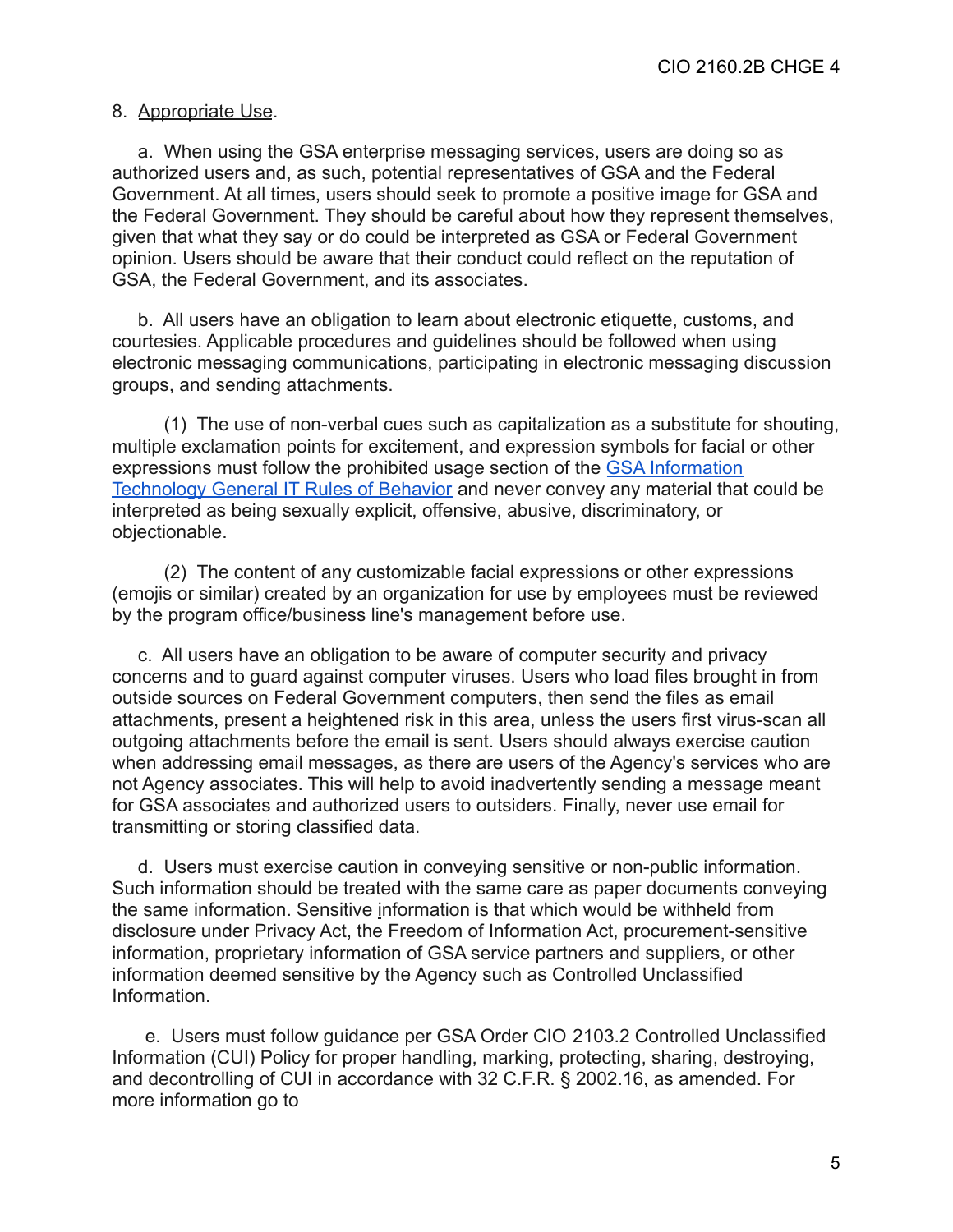#### 8. Appropriate Use.

a. When using the GSA enterprise messaging services, users are doing so as authorized users and, as such, potential representatives of GSA and the Federal Government. At all times, users should seek to promote a positive image for GSA and the Federal Government. They should be careful about how they represent themselves, given that what they say or do could be interpreted as GSA or Federal Government opinion. Users should be aware that their conduct could reflect on the reputation of GSA, the Federal Government, and its associates.

b. All users have an obligation to learn about electronic etiquette, customs, and courtesies. Applicable procedures and guidelines should be followed when using electronic messaging communications, participating in electronic messaging discussion groups, and sending attachments.

(1) The use of non-verbal cues such as capitalization as a substitute for shouting, multiple exclamation points for excitement, and expression symbols for facial or other expressions must follow the prohibited usage section of the [GSA Information](https://www.gsa.gov/directive/gsa-information-technology-(it)-general-rules-of-behavior) [Technology General IT Rules of Behavior](https://www.gsa.gov/directive/gsa-information-technology-(it)-general-rules-of-behavior) and never convey any material that could be interpreted as being sexually explicit, offensive, abusive, discriminatory, or objectionable.

(2) The content of any customizable facial expressions or other expressions (emojis or similar) created by an organization for use by employees must be reviewed by the program office/business line's management before use.

c. All users have an obligation to be aware of computer security and privacy concerns and to guard against computer viruses. Users who load files brought in from outside sources on Federal Government computers, then send the files as email attachments, present a heightened risk in this area, unless the users first virus-scan all outgoing attachments before the email is sent. Users should always exercise caution when addressing email messages, as there are users of the Agency's services who are not Agency associates. This will help to avoid inadvertently sending a message meant for GSA associates and authorized users to outsiders. Finally, never use email for transmitting or storing classified data.

d. Users must exercise caution in conveying sensitive or non-public information. Such information should be treated with the same care as paper documents conveying the same information. Sensitive information is that which would be withheld from disclosure under Privacy Act, the Freedom of Information Act, procurement-sensitive information, proprietary information of GSA service partners and suppliers, or other information deemed sensitive by the Agency such as Controlled Unclassified Information.

e. Users must follow guidance per [GSA Order CIO](https://www.gsa.gov/directive/controlled-unclassified-information-(cui)-policy) 2103.2 Controlled Unclassified Information (CUI) Policy for proper handling, marking, protecting, sharing, destroying, and decontrolling of CUI in accordance with 32 C.F.R. § 2002.16, as amended. For more information go to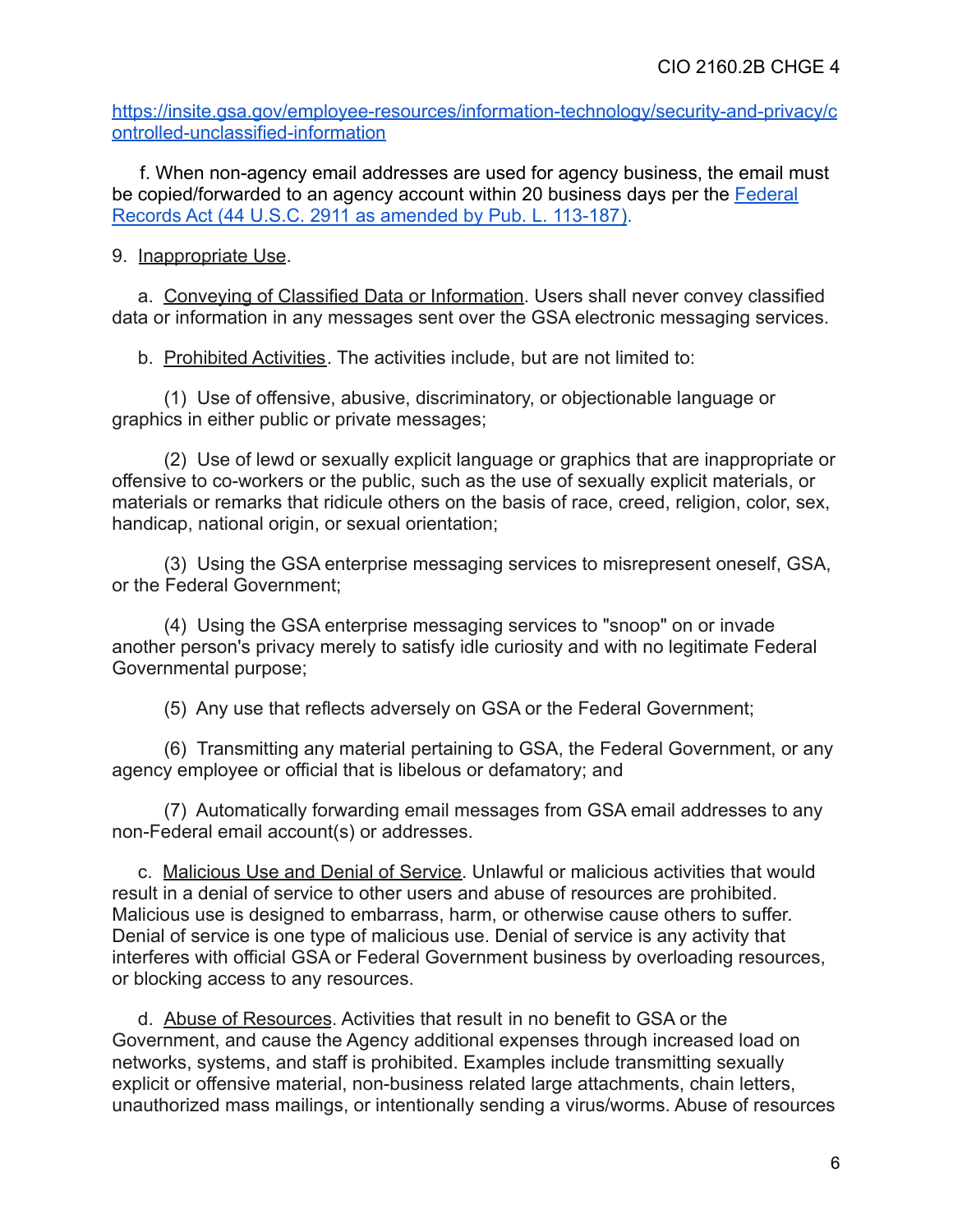[https://insite.gsa.gov/employee-resources/information-technology/security-and-privacy/c](https://insite.gsa.gov/employee-resources/information-technology/security-and-privacy/controlled-unclassified-information) [ontrolled-unclassified-information](https://insite.gsa.gov/employee-resources/information-technology/security-and-privacy/controlled-unclassified-information)

f. When non-agency email addresses are used for agency business, the email must be copied/forwarded to an agency account within 20 business days per the **[Federal](https://www.congress.gov/113/plaws/publ187/PLAW-113publ187.pdf)** [Records Act \(44 U.S.C. 2911 as amended by Pub. L. 113-187](https://www.congress.gov/113/plaws/publ187/PLAW-113publ187.pdf)).

# 9. Inappropriate Use.

a. Conveying of Classified Data or Information. Users shall never convey classified data or information in any messages sent over the GSA electronic messaging services.

b. Prohibited Activities. The activities include, but are not limited to:

(1) Use of offensive, abusive, discriminatory, or objectionable language or graphics in either public or private messages;

(2) Use of lewd or sexually explicit language or graphics that are inappropriate or offensive to co-workers or the public, such as the use of sexually explicit materials, or materials or remarks that ridicule others on the basis of race, creed, religion, color, sex, handicap, national origin, or sexual orientation;

(3) Using the GSA enterprise messaging services to misrepresent oneself, GSA, or the Federal Government;

(4) Using the GSA enterprise messaging services to "snoop" on or invade another person's privacy merely to satisfy idle curiosity and with no legitimate Federal Governmental purpose;

(5) Any use that reflects adversely on GSA or the Federal Government;

(6) Transmitting any material pertaining to GSA, the Federal Government, or any agency employee or official that is libelous or defamatory; and

(7) Automatically forwarding email messages from GSA email addresses to any non-Federal email account(s) or addresses.

c. Malicious Use and Denial of Service. Unlawful or malicious activities that would result in a denial of service to other users and abuse of resources are prohibited. Malicious use is designed to embarrass, harm, or otherwise cause others to suffer. Denial of service is one type of malicious use. Denial of service is any activity that interferes with official GSA or Federal Government business by overloading resources, or blocking access to any resources.

d. Abuse of Resources. Activities that result in no benefit to GSA or the Government, and cause the Agency additional expenses through increased load on networks, systems, and staff is prohibited. Examples include transmitting sexually explicit or offensive material, non-business related large attachments, chain letters, unauthorized mass mailings, or intentionally sending a virus/worms. Abuse of resources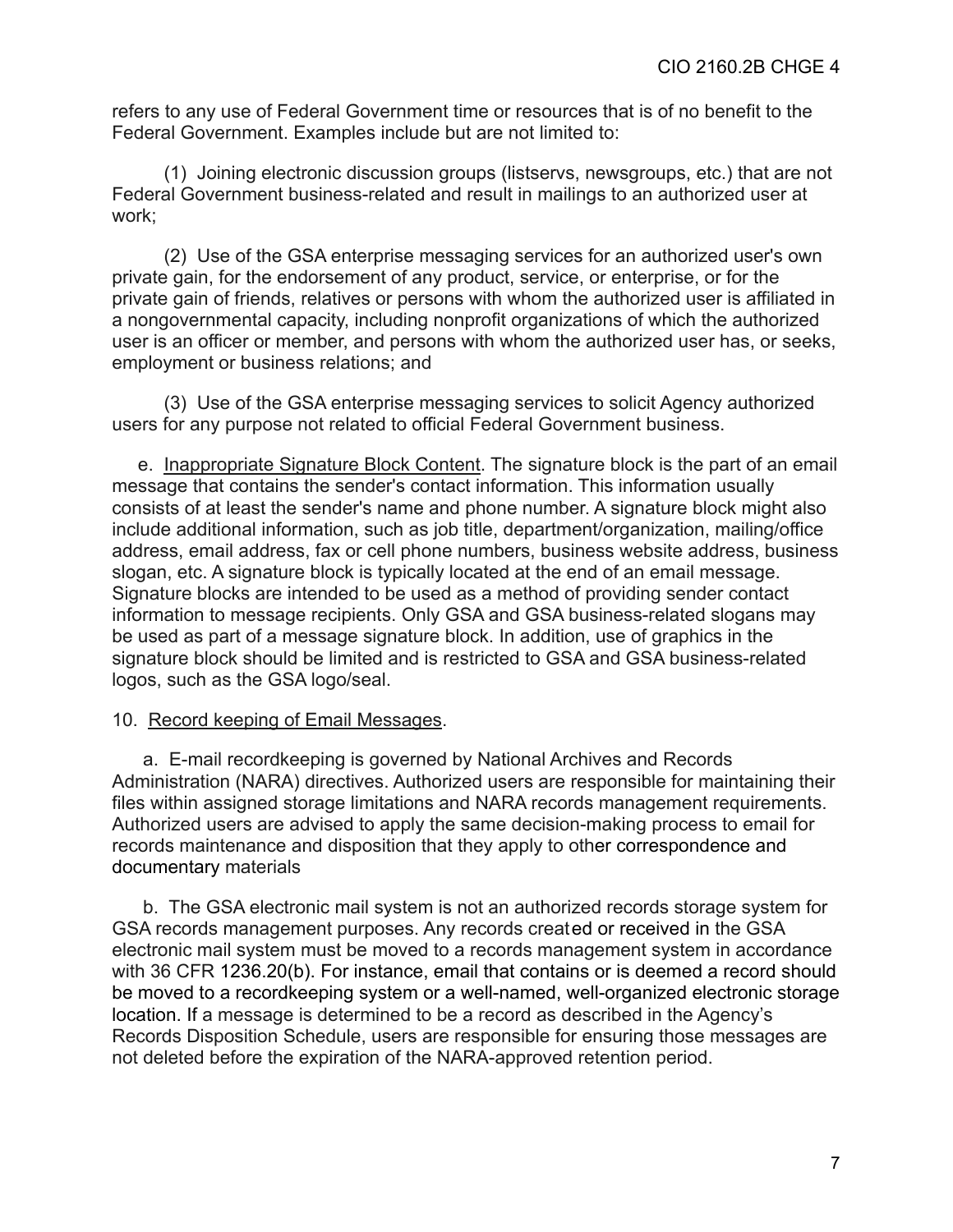refers to any use of Federal Government time or resources that is of no benefit to the Federal Government. Examples include but are not limited to:

(1) Joining electronic discussion groups (listservs, newsgroups, etc.) that are not Federal Government business-related and result in mailings to an authorized user at work;

(2) Use of the GSA enterprise messaging services for an authorized user's own private gain, for the endorsement of any product, service, or enterprise, or for the private gain of friends, relatives or persons with whom the authorized user is affiliated in a nongovernmental capacity, including nonprofit organizations of which the authorized user is an officer or member, and persons with whom the authorized user has, or seeks, employment or business relations; and

(3) Use of the GSA enterprise messaging services to solicit Agency authorized users for any purpose not related to official Federal Government business.

e. Inappropriate Signature Block Content. The signature block is the part of an email message that contains the sender's contact information. This information usually consists of at least the sender's name and phone number. A signature block might also include additional information, such as job title, department/organization, mailing/office address, email address, fax or cell phone numbers, business website address, business slogan, etc. A signature block is typically located at the end of an email message. Signature blocks are intended to be used as a method of providing sender contact information to message recipients. Only GSA and GSA business-related slogans may be used as part of a message signature block. In addition, use of graphics in the signature block should be limited and is restricted to GSA and GSA business-related logos, such as the GSA logo/seal.

#### 10. Record keeping of Email Messages.

a. E-mail recordkeeping is governed by National Archives and Records Administration (NARA) directives. Authorized users are responsible for maintaining their files within assigned storage limitations and NARA records management requirements. Authorized users are advised to apply the same decision-making process to email for records maintenance and disposition that they apply to other correspondence and documentary materials

b. The GSA electronic mail system is not an authorized records storage system for GSA records management purposes. Any records created or received in the GSA electronic mail system must be moved to a records management system in accordance with 36 CFR 1236.20(b). For instance, email that contains or is deemed a record should be moved to a recordkeeping system or a well-named, well-organized electronic storage location. If a message is determined to be a record as described in the Agency's Records Disposition Schedule, users are responsible for ensuring those messages are not deleted before the expiration of the NARA-approved retention period.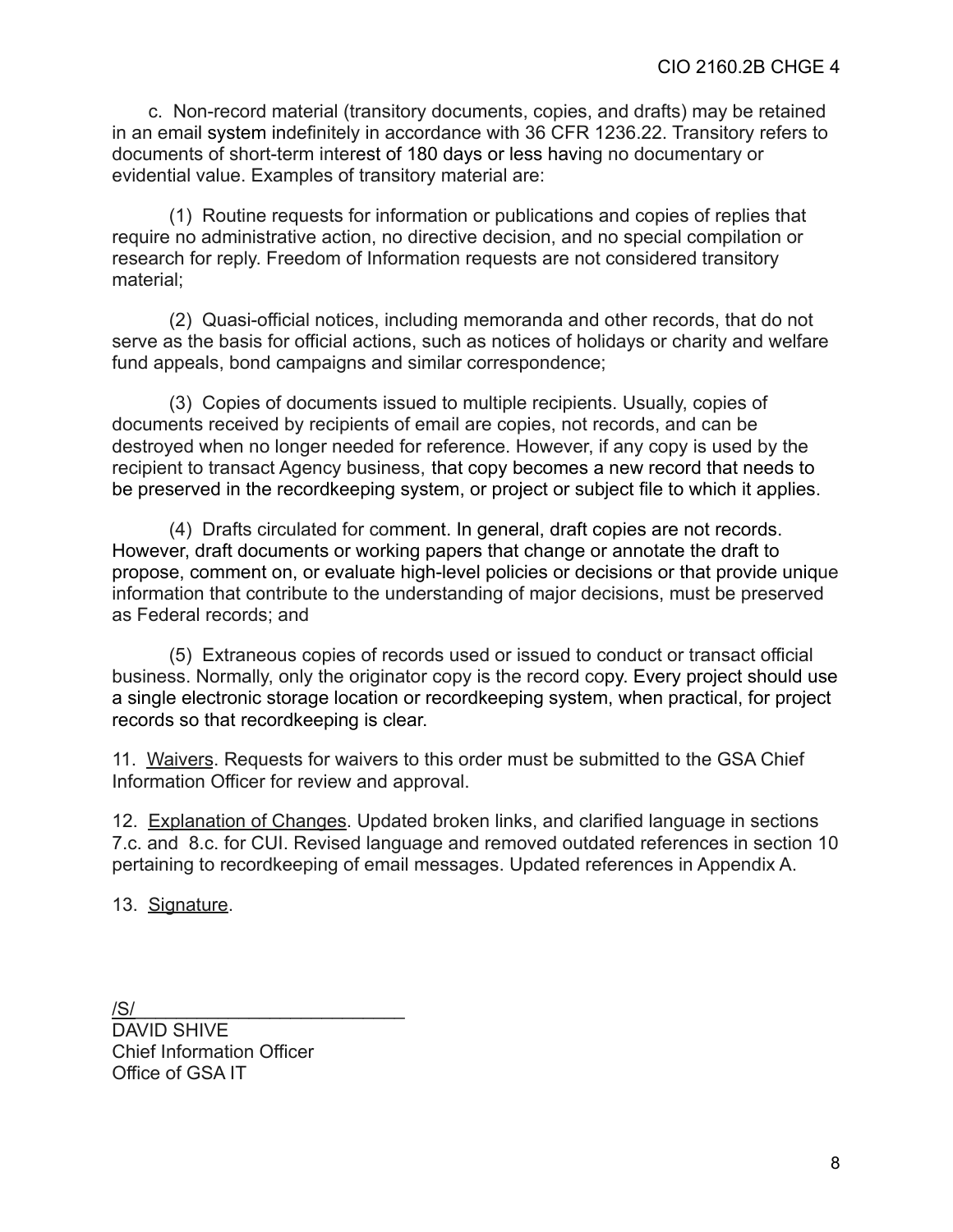c. Non-record material (transitory documents, copies, and drafts) may be retained in an email system indefinitely in accordance with 36 CFR 1236.22. Transitory refers to documents of short-term interest of 180 days or less having no documentary or evidential value. Examples of transitory material are:

(1) Routine requests for information or publications and copies of replies that require no administrative action, no directive decision, and no special compilation or research for reply. Freedom of Information requests are not considered transitory material;

(2) Quasi-official notices, including memoranda and other records, that do not serve as the basis for official actions, such as notices of holidays or charity and welfare fund appeals, bond campaigns and similar correspondence;

(3) Copies of documents issued to multiple recipients. Usually, copies of documents received by recipients of email are copies, not records, and can be destroyed when no longer needed for reference. However, if any copy is used by the recipient to transact Agency business, that copy becomes a new record that needs to be preserved in the recordkeeping system, or project or subject file to which it applies.

(4) Drafts circulated for comment. In general, draft copies are not records. However, draft documents or working papers that change or annotate the draft to propose, comment on, or evaluate high-level policies or decisions or that provide unique information that contribute to the understanding of major decisions, must be preserved as Federal records; and

(5) Extraneous copies of records used or issued to conduct or transact official business. Normally, only the originator copy is the record copy. Every project should use a single electronic storage location or recordkeeping system, when practical, for project records so that recordkeeping is clear.

11. Waivers. Requests for waivers to this order must be submitted to the GSA Chief Information Officer for review and approval.

12. Explanation of Changes. Updated broken links, and clarified language in sections 7.c. and 8.c. for CUI. Revised language and removed outdated references in section 10 pertaining to recordkeeping of email messages. Updated references in Appendix A.

13. Signature.

/S/\_\_\_\_\_\_\_\_\_\_\_\_\_\_\_\_\_\_\_\_\_\_\_\_\_\_ DAVID SHIVE Chief Information Officer Office of GSA IT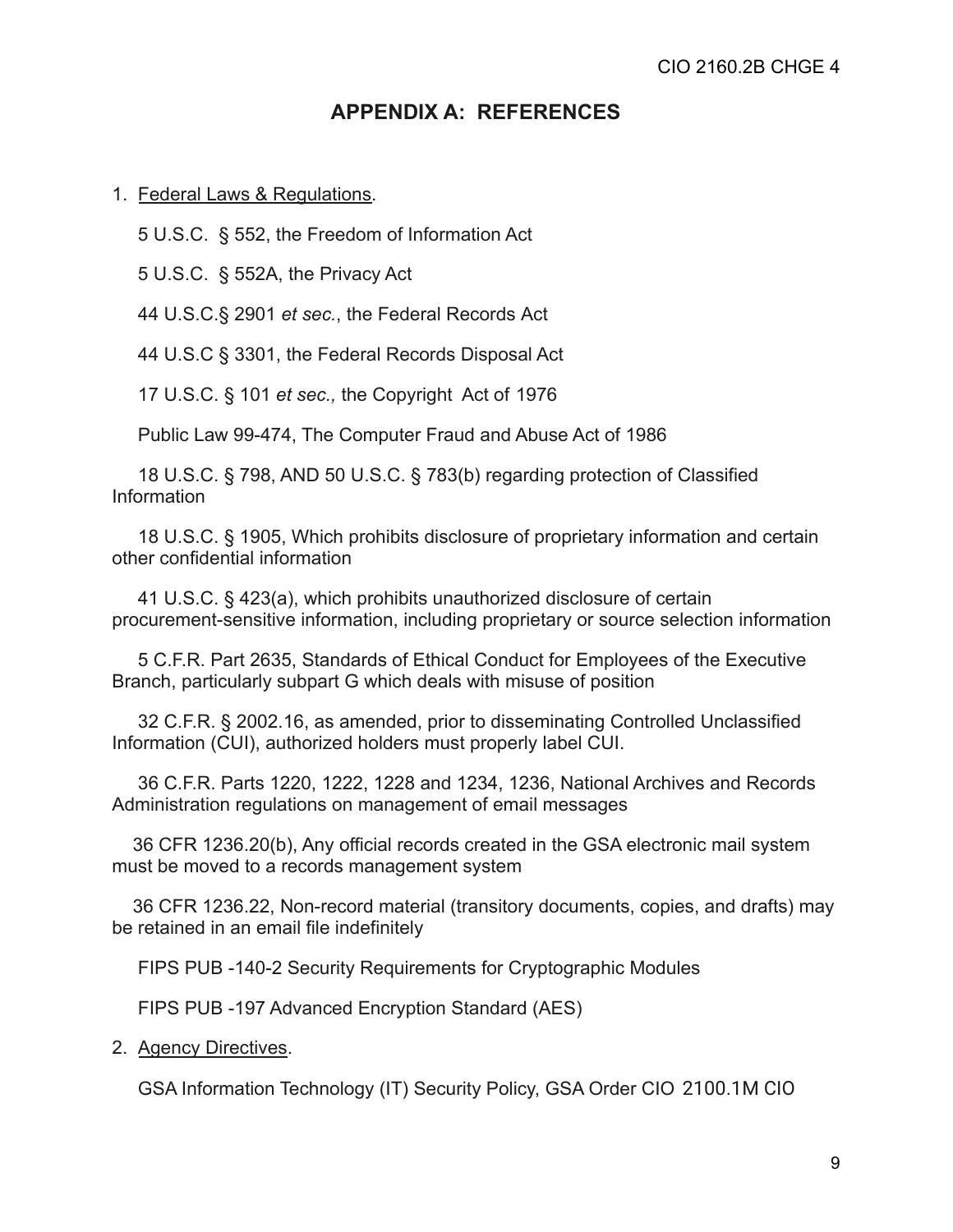# **APPENDIX A: REFERENCES**

#### 1. Federal Laws & Regulations.

5 U.S.C. § 552, the Freedom of Information Act

5 U.S.C. § 552A, the Privacy Act

44 U.S.C.§ 2901 *et sec.*, the Federal Records Act

44 U.S.C § 3301, the Federal Records Disposal Act

17 U.S.C. § 101 *et sec.,* the Copyright Act of 1976

Public Law 99-474, The Computer Fraud and Abuse Act of 1986

18 U.S.C. § 798, AND 50 U.S.C. § 783(b) regarding protection of Classified Information

18 U.S.C. § 1905, Which prohibits disclosure of proprietary information and certain other confidential information

41 U.S.C. § 423(a), which prohibits unauthorized disclosure of certain procurement-sensitive information, including proprietary or source selection information

5 C.F.R. Part 2635, Standards of Ethical Conduct for Employees of the Executive Branch, particularly subpart G which deals with misuse of position

32 C.F.R. § 2002.16, as amended, prior to disseminating Controlled Unclassified Information (CUI), authorized holders must properly label CUI.

36 C.F.R. Parts 1220, 1222, 1228 and 1234, 1236, National Archives and Records Administration regulations on management of email messages

36 CFR 1236.20(b), Any official records created in the GSA electronic mail system must be moved to a records management system

36 CFR 1236.22, Non-record material (transitory documents, copies, and drafts) may be retained in an email file indefinitely

FIPS PUB -140-2 Security Requirements for Cryptographic Modules

FIPS PUB -197 Advanced Encryption Standard (AES)

2. Agency Directives.

GSA Information Technology (IT) Security Policy, GSA Order CIO 2100.1M CIO